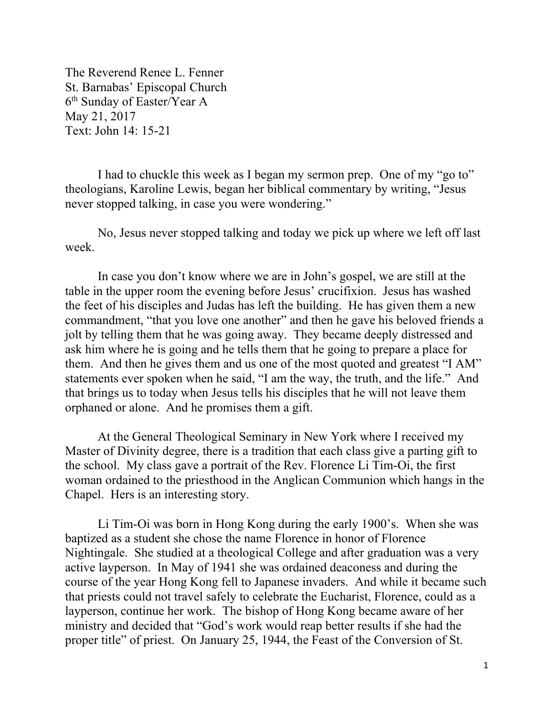The Reverend Renee L. Fenner St. Barnabas' Episcopal Church 6th Sunday of Easter/Year A May 21, 2017 Text: John 14: 15-21

 I had to chuckle this week as I began my sermon prep. One of my "go to" theologians, Karoline Lewis, began her biblical commentary by writing, "Jesus never stopped talking, in case you were wondering."

 No, Jesus never stopped talking and today we pick up where we left off last week.

 In case you don't know where we are in John's gospel, we are still at the table in the upper room the evening before Jesus' crucifixion. Jesus has washed the feet of his disciples and Judas has left the building. He has given them a new commandment, "that you love one another" and then he gave his beloved friends a jolt by telling them that he was going away. They became deeply distressed and ask him where he is going and he tells them that he going to prepare a place for them. And then he gives them and us one of the most quoted and greatest "I AM" statements ever spoken when he said, "I am the way, the truth, and the life." And that brings us to today when Jesus tells his disciples that he will not leave them orphaned or alone. And he promises them a gift.

 At the General Theological Seminary in New York where I received my Master of Divinity degree, there is a tradition that each class give a parting gift to the school. My class gave a portrait of the Rev. Florence Li Tim-Oi, the first woman ordained to the priesthood in the Anglican Communion which hangs in the Chapel. Hers is an interesting story.

Li Tim-Oi was born in Hong Kong during the early 1900's. When she was baptized as a student she chose the name Florence in honor of Florence Nightingale. She studied at a theological College and after graduation was a very active layperson. In May of 1941 she was ordained deaconess and during the course of the year Hong Kong fell to Japanese invaders. And while it became such that priests could not travel safely to celebrate the Eucharist, Florence, could as a layperson, continue her work. The bishop of Hong Kong became aware of her ministry and decided that "God's work would reap better results if she had the proper title" of priest. On January 25, 1944, the Feast of the Conversion of St.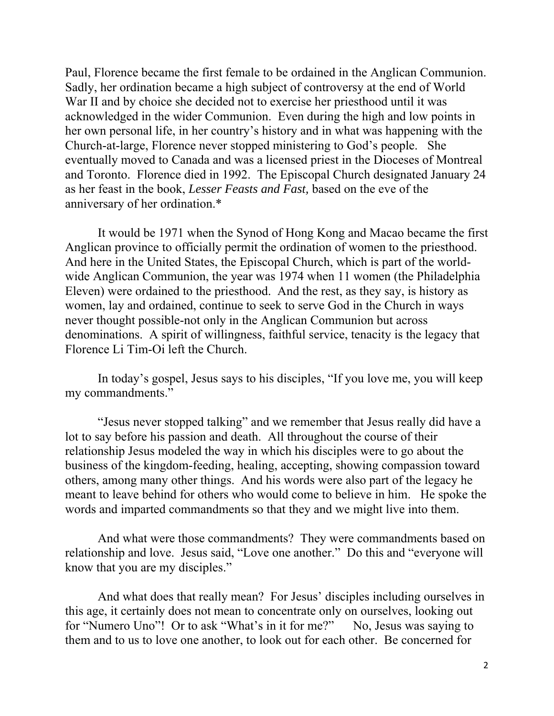Paul, Florence became the first female to be ordained in the Anglican Communion. Sadly, her ordination became a high subject of controversy at the end of World War II and by choice she decided not to exercise her priesthood until it was acknowledged in the wider Communion. Even during the high and low points in her own personal life, in her country's history and in what was happening with the Church-at-large, Florence never stopped ministering to God's people. She eventually moved to Canada and was a licensed priest in the Dioceses of Montreal and Toronto. Florence died in 1992. The Episcopal Church designated January 24 as her feast in the book, *Lesser Feasts and Fast,* based on the eve of the anniversary of her ordination.\*

It would be 1971 when the Synod of Hong Kong and Macao became the first Anglican province to officially permit the ordination of women to the priesthood. And here in the United States, the Episcopal Church, which is part of the worldwide Anglican Communion, the year was 1974 when 11 women (the Philadelphia Eleven) were ordained to the priesthood. And the rest, as they say, is history as women, lay and ordained, continue to seek to serve God in the Church in ways never thought possible-not only in the Anglican Communion but across denominations. A spirit of willingness, faithful service, tenacity is the legacy that Florence Li Tim-Oi left the Church.

In today's gospel, Jesus says to his disciples, "If you love me, you will keep my commandments."

"Jesus never stopped talking" and we remember that Jesus really did have a lot to say before his passion and death. All throughout the course of their relationship Jesus modeled the way in which his disciples were to go about the business of the kingdom-feeding, healing, accepting, showing compassion toward others, among many other things. And his words were also part of the legacy he meant to leave behind for others who would come to believe in him. He spoke the words and imparted commandments so that they and we might live into them.

And what were those commandments? They were commandments based on relationship and love. Jesus said, "Love one another." Do this and "everyone will know that you are my disciples."

And what does that really mean? For Jesus' disciples including ourselves in this age, it certainly does not mean to concentrate only on ourselves, looking out for "Numero Uno"! Or to ask "What's in it for me?" No, Jesus was saying to them and to us to love one another, to look out for each other. Be concerned for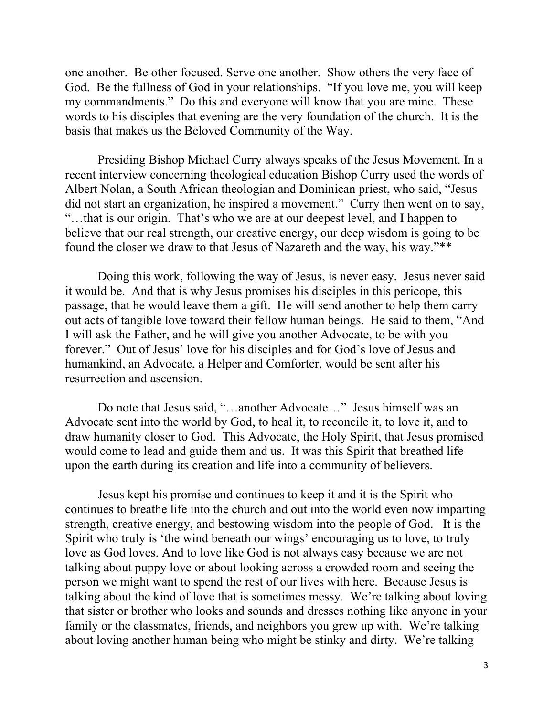one another. Be other focused. Serve one another. Show others the very face of God. Be the fullness of God in your relationships. "If you love me, you will keep my commandments." Do this and everyone will know that you are mine. These words to his disciples that evening are the very foundation of the church. It is the basis that makes us the Beloved Community of the Way.

Presiding Bishop Michael Curry always speaks of the Jesus Movement. In a recent interview concerning theological education Bishop Curry used the words of Albert Nolan, a South African theologian and Dominican priest, who said, "Jesus did not start an organization, he inspired a movement." Curry then went on to say, "…that is our origin. That's who we are at our deepest level, and I happen to believe that our real strength, our creative energy, our deep wisdom is going to be found the closer we draw to that Jesus of Nazareth and the way, his way."\*\*

Doing this work, following the way of Jesus, is never easy. Jesus never said it would be. And that is why Jesus promises his disciples in this pericope, this passage, that he would leave them a gift. He will send another to help them carry out acts of tangible love toward their fellow human beings. He said to them, "And I will ask the Father, and he will give you another Advocate, to be with you forever." Out of Jesus' love for his disciples and for God's love of Jesus and humankind, an Advocate, a Helper and Comforter, would be sent after his resurrection and ascension.

Do note that Jesus said, "…another Advocate…" Jesus himself was an Advocate sent into the world by God, to heal it, to reconcile it, to love it, and to draw humanity closer to God. This Advocate, the Holy Spirit, that Jesus promised would come to lead and guide them and us. It was this Spirit that breathed life upon the earth during its creation and life into a community of believers.

Jesus kept his promise and continues to keep it and it is the Spirit who continues to breathe life into the church and out into the world even now imparting strength, creative energy, and bestowing wisdom into the people of God. It is the Spirit who truly is 'the wind beneath our wings' encouraging us to love, to truly love as God loves. And to love like God is not always easy because we are not talking about puppy love or about looking across a crowded room and seeing the person we might want to spend the rest of our lives with here. Because Jesus is talking about the kind of love that is sometimes messy. We're talking about loving that sister or brother who looks and sounds and dresses nothing like anyone in your family or the classmates, friends, and neighbors you grew up with. We're talking about loving another human being who might be stinky and dirty. We're talking